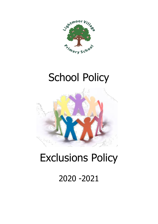

# School Policy



## Exclusions Policy

### 2020 -2021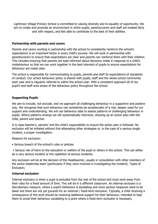Lightmoor Village Primary School is committed to valuing diversity and to equality of opportunity. We aim to create and promote an environment in which pupils, parents/carers and staff are treated fairly and with respect, and feel able to contribute to the best of their abilities.

#### **Partnership with parents and carers**

Parents and carers working in partnership with the school to consistently reinforce the school's expectations is an important factor in every child's success. We will work in partnership with parents/carers to ensure that expectations are clear and parents can reinforce them with their children. This includes ensuring that parents are kept informed about decisions made in response to a child's misbehaviour so that we can work together in the best interests of pupils to ensure expectations for behaviour are made clear.

The school is responsible for communicating to pupils, parents and staff its expectations of standards of conduct. Our school behaviour policy is shared with pupils, staff and the whole school community each year and is regularly referred to within the school year. With a consistent approach all of our pupil's and staff area aware of the behaviour policy throughout the school.

#### **Supporting Pupils**

We aim to include, not exclude, and we approach all challenging behaviour in a supportive and positive way. We recognise that such behaviour can sometimes be symptomatic of a real, deeper need for our support and understanding. We will use behaviour data to assess patterns of challenging behaviour in pupils. Where patterns emerge we will systematically intervene, drawing up an action plan with the child, parent and teacher.

It is class teacher's, parents' and the child's responsibility to ensure the action plan is followed. No exclusion will be initiated without first attempting other strategies or, in the case of a serious single incident, a proper investigation.

Reasons for exclusion:

• Serious breach of the school's rules or policies

• Serious risk of harm to the education or welfare of the pupil or others in the school. This can either be a very serious incident or the repetition of serious incidents.

Any exclusion will be at the decision of the Headteacher, usually in consultation with other members of the senior leadership team (particularly if they were involved in investigating the incident). Types of Exclusion;

#### **Internal exclusion**

Internal exclusion is when a pupil is excluded from the rest of the school and must work away from their class for a fixed amount of time. This will be in a different classroom. An internal exclusion is a discretionary measure, where a pupil's behaviour is escalating and more serious measures need to be taken but there are not yet grounds for an external / fixed-term exclusion. Typically, a child receiving a consequence of this level should be receiving additional support for their behaviour, intended to help them to avoid their behaviour escalating to a point where a fixed term exclusion is necessary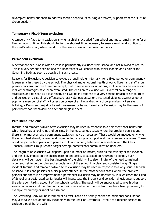(examples: behaviour chart to address specific behaviours causing a problem; support from the Nurture Group Leader)

#### **Temporary / Fixed-Term exclusion**

A temporary / fixed term exclusion is when a child is excluded from school and must remain home for a fixed amount of time. This should be for the shortest time necessary to ensure minimal disruption to the child's education, whilst mindful of the seriousness of the breach of policy.

#### **Permanent exclusion**

A permanent exclusion is when a child is permanently excluded from school and not allowed to return. This is a very serious decision and the Headteacher will consult with senior leaders and Chair of the Governing Body as soon as possible in such a case.

Reasons for Exclusion; A decision to exclude a pupil, either internally, for a fixed period or permanently is seen as a last resort by the school. The physical and emotional health of our children and staff is our primary concern, and we therefore accept, that in some serious situations, exclusion may be necessary, if all other strategies have been exhausted. The decision to exclude will usually follow a range of strategies and be seen as a last resort, or it will be in response to a very serious breach of school rules and policies or a disciplinary offence such as: • Serious actual or threatened violence against another pupil or a member of staff; • Possession or use of an illegal drug on school premises; • Persistent bullying; • Persistent prejudice based harassment or hatred based acts Exclusion may be the result of persistently poor behaviour or a serious single incident.

#### **Persistent Problems**

Internal and temporary/fixed-term exclusion may be used in response to a persistent poor behaviour which breaches school rules and policies. In the most serious cases where the problem persists and there is no improvement a permanent exclusion may be necessary. These would be imposed only when the school had already offered and implemented a range of support and management strategies. These could be joint action plans with parents, child and school, behaviour intervention with the Class Teacher/Nurture Group Leader, target setting, home/school communication book etc.

The length of an exclusion will depend upon a number of factors, such as the severity of the incident, and the likely impact on the child's learning and ability to succeed on returning to school. Such decisions will be made in the best interests of the child, whilst also mindful of the need to maintain order and reinforce the rules and expectations of the school in a clear and consistent way. Single incident Internal and temporary/fixed-term exclusion may be used in response to a very serious breach of school rules and policies or a disciplinary offence. In the most serious cases where the problem persists and there is no improvement a permanent exclusion may be necessary. In such cases the Head of School or a designated senior leader will investigate the incident and consider all evidence to support the allegation, taking account of the school's policies. The pupil will be encouraged to give his/her version of events and the Head of School will check whether the incident may have been provoked, for example by bullying or racial harassment.

The Governing Body will be informed of all exclusions on a termly basis; and additional consultation may also take place about key incidents with the Chair of Governors. If the Head teacher decides to exclude a pupil he/she will: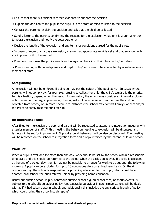- Ensure that there is sufficient recorded evidence to support the decision
- Explain the decision to the pupil if the pupil is in the state of mind to listen to the decision
- Contact the parents, explain the decision and ask that the child be collected

• Send a letter to the parents confirming the reasons for the exclusion, whether it is a permanent or temporary exclusion and notify the Local Authority

• Decide the length of the exclusion and any terms or conditions agreed for the pupil's return

• In cases of more than a day's exclusion, ensure that appropriate work is set and that arrangements are in place for it to be marked

• Plan how to address the pupil's needs and integration back into their class on his/her return

• Plan a meeting with parents/carers and pupil on his/her return to be conducted by a suitable senior member of staff

#### **Safeguarding**

An exclusion will not be enforced if doing so may put the safety of the pupil at risk. In cases where parents will not comply by, for example, refusing to collect the child, the child's welfare is the priority. In this situation, depending on the reason for exclusion, the school may consider an internal exclusion until the end of the day, implementing the original exclusion decision from the time the child is collected from school, or, in more severe circumstances the school may contact Family Connect and/or the Police to safely take the pupil off site.

#### **Re-integrating Pupils**

After fixed term exclusion the pupil and parent will be requested to attend a reintegration meeting with a senior member of staff. At this meeting the behaviour leading to exclusion will be discussed and targets will be set for improvement. Support around behaviour will be also be discussed. The meeting will be recorded on the school re-integration form and a copy retained by the parent, child and school.

#### **Work Set**

When a pupil is excluded for more than one day, work should be set by the school within a reasonable time-scale and this should be returned to the school when the exclusion is over. If a child is excluded at the end of a school day, then it may not be possible to arrange for work to be set until the following morning. A pupil can be excluded for up to 10 continuous days on a fixed term basis. On the 6 continuous day, the school is responsible for providing education for the pupil, which could be at another local school, the pupil referral unit or by providing home education.

Behaviour outside school Pupils' behaviour outside school e.g. on school trips, at sports events, is subject to the school's behaviour policy. Unacceptable behaviour in such circumstances will be dealt with as if it had taken place in school; and additionally this includes the any serious breach of policy which could 'bring the school into disrepute'.

#### **Pupils with special educational needs and disabled pupils**